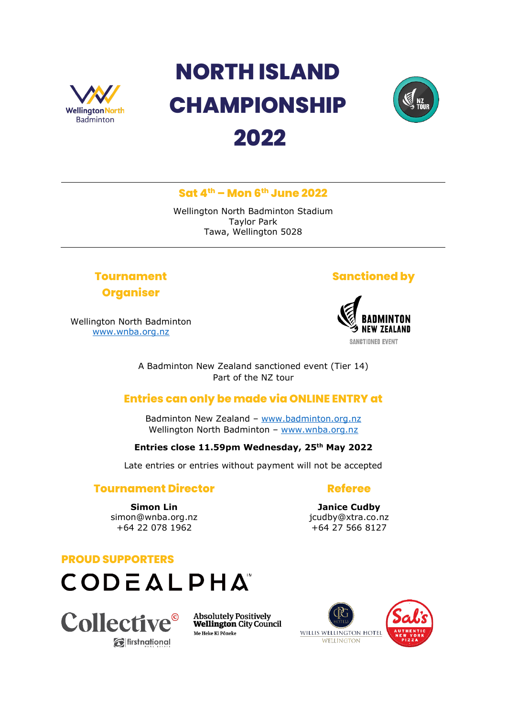

# **NORTH ISLAND CHAMPIONSHIP 2022**



## **Sat 4 th – Mon 6th June 2022**

Wellington North Badminton Stadium Taylor Park Tawa, Wellington 5028

# **Tournament Organiser**

Wellington North Badminton [www.wnba.org.nz](http://www.wnba.org.nz/)

# **Sanctioned by**



A Badminton New Zealand sanctioned event (Tier 14) Part of the NZ tour

# **Entries can only be made via ONLINE ENTRY at**

Badminton New Zealand – [www.badminton.org.nz](http://www.badminton.org.nz/) Wellington North Badminton – [www.wnba.org.nz](http://www.wnba.org.nz/)

## **Entries close 11.59pm Wednesday, 25th May 2022**

Late entries or entries without payment will not be accepted

## **Tournament Director**

**Simon Lin** simon@wnba.org.nz +64 22 078 1962

**Referee**

**Janice Cudby** jcudby@xtra.co.nz +64 27 566 8127

#### **PROUD SUPPORTERS**





**Absolutely Positively Wellington City Council** Me Heke Ki Pöneke

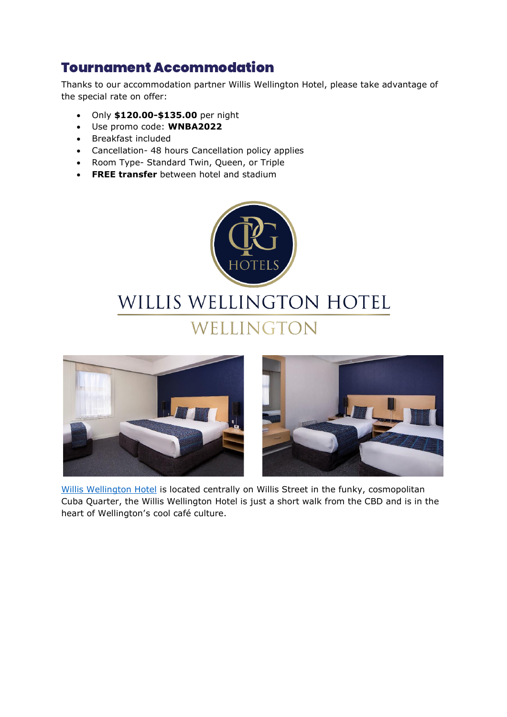# Tournament Accommodation

Thanks to our accommodation partner Willis Wellington Hotel, please take advantage of the special rate on offer:

- Only **\$120.00-\$135.00** per night
- Use promo code: **WNBA2022**
- Breakfast included
- Cancellation- 48 hours Cancellation policy applies
- Room Type- Standard Twin, Queen, or Triple
- **FREE transfer** between hotel and stadium







[Willis Wellington Hotel](https://www.cpghotels.com/our-hotels/willis-wellington-hotel/) is located centrally on Willis Street in the funky, cosmopolitan Cuba Quarter, the Willis Wellington Hotel is just a short walk from the CBD and is in the heart of Wellington's cool café culture.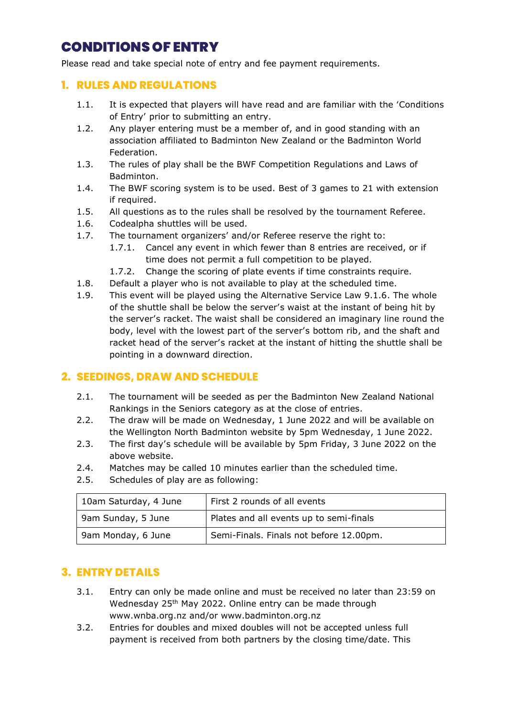# CONDITIONS OF ENTRY

Please read and take special note of entry and fee payment requirements.

#### **1. RULES AND REGULATIONS**

- 1.1. It is expected that players will have read and are familiar with the 'Conditions of Entry' prior to submitting an entry.
- 1.2. Any player entering must be a member of, and in good standing with an association affiliated to Badminton New Zealand or the Badminton World Federation.
- 1.3. The rules of play shall be the BWF Competition Regulations and Laws of Badminton.
- 1.4. The BWF scoring system is to be used. Best of 3 games to 21 with extension if required.
- 1.5. All questions as to the rules shall be resolved by the tournament Referee.
- 1.6. Codealpha shuttles will be used.
- 1.7. The tournament organizers' and/or Referee reserve the right to:
	- 1.7.1. Cancel any event in which fewer than 8 entries are received, or if time does not permit a full competition to be played.
	- 1.7.2. Change the scoring of plate events if time constraints require.
- 1.8. Default a player who is not available to play at the scheduled time.
- 1.9. This event will be played using the Alternative Service Law 9.1.6. The whole of the shuttle shall be below the server's waist at the instant of being hit by the server's racket. The waist shall be considered an imaginary line round the body, level with the lowest part of the server's bottom rib, and the shaft and racket head of the server's racket at the instant of hitting the shuttle shall be pointing in a downward direction.

## **2. SEEDINGS, DRAW AND SCHEDULE**

- 2.1. The tournament will be seeded as per the Badminton New Zealand National Rankings in the Seniors category as at the close of entries.
- 2.2. The draw will be made on Wednesday, 1 June 2022 and will be available on the Wellington North Badminton website by 5pm Wednesday, 1 June 2022.
- 2.3. The first day's schedule will be available by 5pm Friday, 3 June 2022 on the above website.
- 2.4. Matches may be called 10 minutes earlier than the scheduled time.
- 2.5. Schedules of play are as following:

| 10am Saturday, 4 June | First 2 rounds of all events            |  |
|-----------------------|-----------------------------------------|--|
| 9am Sunday, 5 June    | Plates and all events up to semi-finals |  |
| 9am Monday, 6 June    | Semi-Finals. Finals not before 12.00pm. |  |

## **3. ENTRY DETAILS**

- 3.1. Entry can only be made online and must be received no later than 23:59 on Wednesday 25<sup>th</sup> May 2022. Online entry can be made through www.wnba.org.nz and/or www.badminton.org.nz
- 3.2. Entries for doubles and mixed doubles will not be accepted unless full payment is received from both partners by the closing time/date. This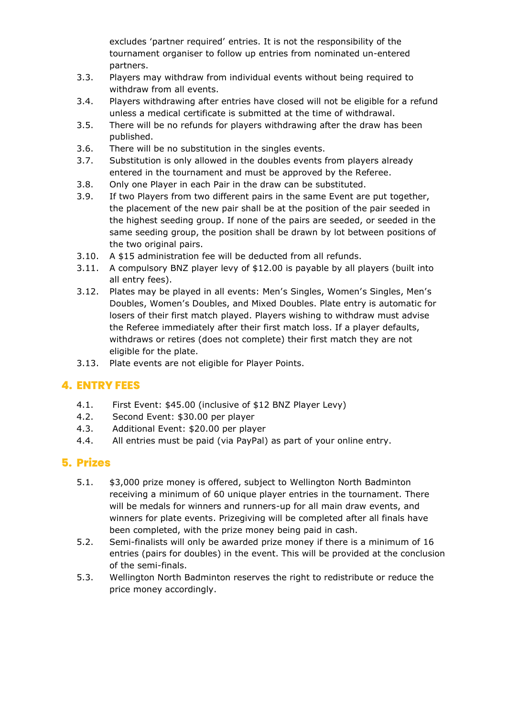excludes 'partner required' entries. It is not the responsibility of the tournament organiser to follow up entries from nominated un-entered partners.

- 3.3. Players may withdraw from individual events without being required to withdraw from all events.
- 3.4. Players withdrawing after entries have closed will not be eligible for a refund unless a medical certificate is submitted at the time of withdrawal.
- 3.5. There will be no refunds for players withdrawing after the draw has been published.
- 3.6. There will be no substitution in the singles events.
- 3.7. Substitution is only allowed in the doubles events from players already entered in the tournament and must be approved by the Referee.
- 3.8. Only one Player in each Pair in the draw can be substituted.
- 3.9. If two Players from two different pairs in the same Event are put together, the placement of the new pair shall be at the position of the pair seeded in the highest seeding group. If none of the pairs are seeded, or seeded in the same seeding group, the position shall be drawn by lot between positions of the two original pairs.
- 3.10. A \$15 administration fee will be deducted from all refunds.
- 3.11. A compulsory BNZ player levy of \$12.00 is payable by all players (built into all entry fees).
- 3.12. Plates may be played in all events: Men's Singles, Women's Singles, Men's Doubles, Women's Doubles, and Mixed Doubles. Plate entry is automatic for losers of their first match played. Players wishing to withdraw must advise the Referee immediately after their first match loss. If a player defaults, withdraws or retires (does not complete) their first match they are not eligible for the plate.
- 3.13. Plate events are not eligible for Player Points.

## **4. ENTRY FEES**

- 4.1. First Event: \$45.00 (inclusive of \$12 BNZ Player Levy)
- 4.2. Second Event: \$30.00 per player
- 4.3. Additional Event: \$20.00 per player
- 4.4. All entries must be paid (via PayPal) as part of your online entry.

## **5. Prizes**

- 5.1. \$3,000 prize money is offered, subject to Wellington North Badminton receiving a minimum of 60 unique player entries in the tournament. There will be medals for winners and runners-up for all main draw events, and winners for plate events. Prizegiving will be completed after all finals have been completed, with the prize money being paid in cash.
- 5.2. Semi-finalists will only be awarded prize money if there is a minimum of 16 entries (pairs for doubles) in the event. This will be provided at the conclusion of the semi-finals.
- 5.3. Wellington North Badminton reserves the right to redistribute or reduce the price money accordingly.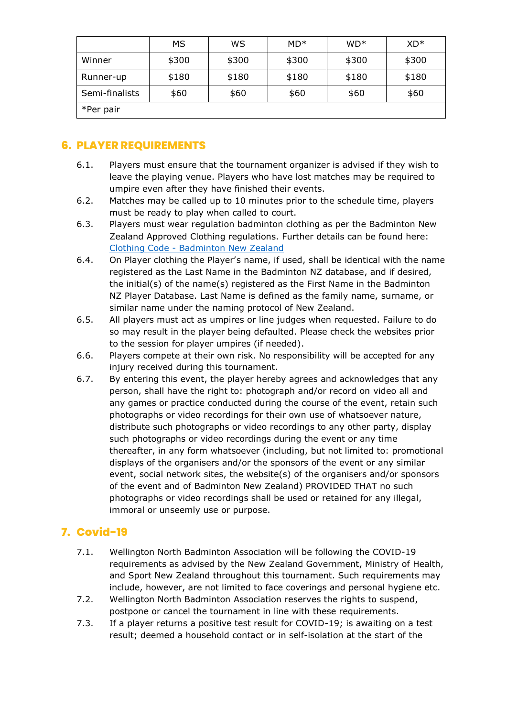|                | МS    | WS    | $MD*$ | $WD*$ | $XD*$ |
|----------------|-------|-------|-------|-------|-------|
| Winner         | \$300 | \$300 | \$300 | \$300 | \$300 |
| Runner-up      | \$180 | \$180 | \$180 | \$180 | \$180 |
| Semi-finalists | \$60  | \$60  | \$60  | \$60  | \$60  |
| *Per pair      |       |       |       |       |       |

## **6. PLAYER REQUIREMENTS**

- 6.1. Players must ensure that the tournament organizer is advised if they wish to leave the playing venue. Players who have lost matches may be required to umpire even after they have finished their events.
- 6.2. Matches may be called up to 10 minutes prior to the schedule time, players must be ready to play when called to court.
- 6.3. Players must wear regulation badminton clothing as per the Badminton New Zealand Approved Clothing regulations. Further details can be found here: Clothing Code - [Badminton New Zealand](https://badminton.org.nz/events/clothing-code/)
- 6.4. On Player clothing the Player's name, if used, shall be identical with the name registered as the Last Name in the Badminton NZ database, and if desired, the initial(s) of the name(s) registered as the First Name in the Badminton NZ Player Database. Last Name is defined as the family name, surname, or similar name under the naming protocol of New Zealand.
- 6.5. All players must act as umpires or line judges when requested. Failure to do so may result in the player being defaulted. Please check the websites prior to the session for player umpires (if needed).
- 6.6. Players compete at their own risk. No responsibility will be accepted for any injury received during this tournament.
- 6.7. By entering this event, the player hereby agrees and acknowledges that any person, shall have the right to: photograph and/or record on video all and any games or practice conducted during the course of the event, retain such photographs or video recordings for their own use of whatsoever nature, distribute such photographs or video recordings to any other party, display such photographs or video recordings during the event or any time thereafter, in any form whatsoever (including, but not limited to: promotional displays of the organisers and/or the sponsors of the event or any similar event, social network sites, the website(s) of the organisers and/or sponsors of the event and of Badminton New Zealand) PROVIDED THAT no such photographs or video recordings shall be used or retained for any illegal, immoral or unseemly use or purpose.

# **7. Covid-19**

- 7.1. Wellington North Badminton Association will be following the COVID-19 requirements as advised by the New Zealand Government, Ministry of Health, and Sport New Zealand throughout this tournament. Such requirements may include, however, are not limited to face coverings and personal hygiene etc.
- 7.2. Wellington North Badminton Association reserves the rights to suspend, postpone or cancel the tournament in line with these requirements.
- 7.3. If a player returns a positive test result for COVID-19; is awaiting on a test result; deemed a household contact or in self-isolation at the start of the